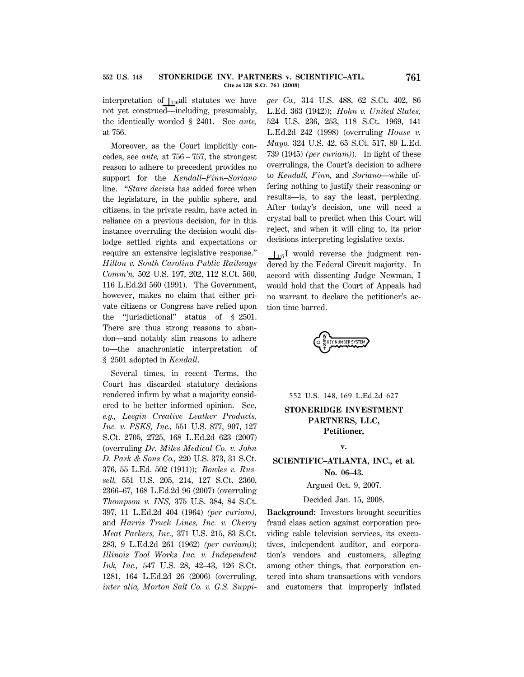interpretation of  $\vert_{146}$ all statutes we have not yet construed—including, presumably, the identically worded § 2401. See *ante,* at 756.

Moreover, as the Court implicitly concedes, see *ante,* at 756 – 757, the strongest reason to adhere to precedent provides no support for the *Kendall*–*Finn*–*Soriano* line. ''*Stare decisis* has added force when the legislature, in the public sphere, and citizens, in the private realm, have acted in reliance on a previous decision, for in this instance overruling the decision would dislodge settled rights and expectations or require an extensive legislative response.'' *Hilton v. South Carolina Public Railways Comm'n,* 502 U.S. 197, 202, 112 S.Ct. 560, 116 L.Ed.2d 560 (1991). The Government, however, makes no claim that either private citizens or Congress have relied upon the ''jurisdictional'' status of § 2501. There are thus strong reasons to abandon—and notably slim reasons to adhere to—the anachronistic interpretation of § 2501 adopted in *Kendall*.

Several times, in recent Terms, the Court has discarded statutory decisions rendered infirm by what a majority considered to be better informed opinion. See, *e.g., Leegin Creative Leather Products, Inc. v. PSKS, Inc.,* 551 U.S. 877, 907, 127 S.Ct. 2705, 2725, 168 L.Ed.2d 623 (2007) (overruling *Dr. Miles Medical Co. v. John D. Park & Sons Co.,* 220 U.S. 373, 31 S.Ct. 376, 55 L.Ed. 502 (1911)); *Bowles v. Russell,* 551 U.S. 205, 214, 127 S.Ct. 2360, 2366–67, 168 L.Ed.2d 96 (2007) (overruling *Thompson v. INS,* 375 U.S. 384, 84 S.Ct. 397, 11 L.Ed.2d 404 (1964) *(per curiam),* and *Harris Truck Lines, Inc. v. Cherry Meat Packers, Inc.,* 371 U.S. 215, 83 S.Ct. 283, 9 L.Ed.2d 261 (1962) *(per curiam)*); *Illinois Tool Works Inc. v. Independent Ink, Inc.,* 547 U.S. 28, 42–43, 126 S.Ct. 1281, 164 L.Ed.2d 26 (2006) (overruling, *inter alia, Morton Salt Co. v. G.S. Suppi*- *ger Co.,* 314 U.S. 488, 62 S.Ct. 402, 86 L.Ed. 363 (1942)); *Hohn v. United States,* 524 U.S. 236, 253, 118 S.Ct. 1969, 141 L.Ed.2d 242 (1998) (overruling *House v. Mayo,* 324 U.S. 42, 65 S.Ct. 517, 89 L.Ed. 739 (1945) *(per curiam)*). In light of these overrulings, the Court's decision to adhere to *Kendall, Finn,* and *Soriano*—while offering nothing to justify their reasoning or results—is, to say the least, perplexing. After today's decision, one will need a crystal ball to predict when this Court will reject, and when it will cling to, its prior decisions interpreting legislative texts.

 $\frac{1}{47}I$  would reverse the judgment rendered by the Federal Circuit majority. In accord with dissenting Judge Newman, I would hold that the Court of Appeals had no warrant to declare the petitioner's action time barred.



552 U.S. 148, 169 L.Ed.2d 627

# **STONERIDGE INVESTMENT PARTNERS, LLC, Petitioner,**

**v.**

# **SCIENTIFIC–ATLANTA, INC., et al. No. 06–43.**

#### Argued Oct. 9, 2007.

## Decided Jan. 15, 2008.

**Background:** Investors brought securities fraud class action against corporation providing cable television services, its executives, independent auditor, and corporation's vendors and customers, alleging among other things, that corporation entered into sham transactions with vendors and customers that improperly inflated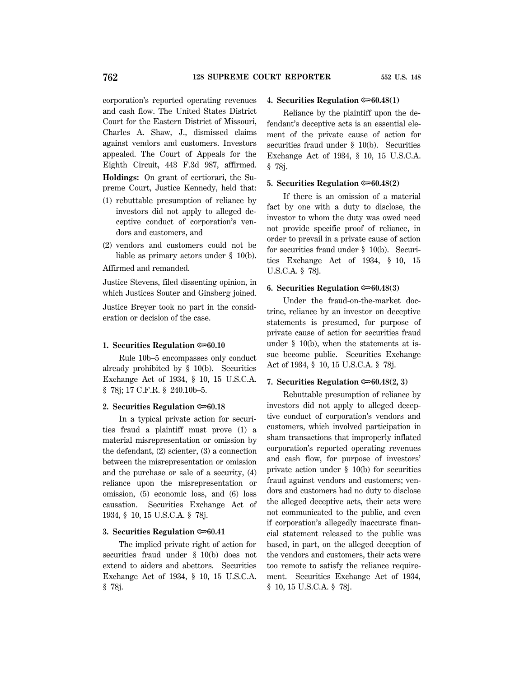corporation's reported operating revenues and cash flow. The United States District Court for the Eastern District of Missouri, Charles A. Shaw, J., dismissed claims against vendors and customers. Investors appealed. The Court of Appeals for the Eighth Circuit, 443 F.3d 987, affirmed. **Holdings:** On grant of certiorari, the Su-

preme Court, Justice Kennedy, held that:

- (1) rebuttable presumption of reliance by investors did not apply to alleged deceptive conduct of corporation's vendors and customers, and
- (2) vendors and customers could not be liable as primary actors under § 10(b).

Affirmed and remanded.

Justice Stevens, filed dissenting opinion, in which Justices Souter and Ginsberg joined.

Justice Breyer took no part in the consideration or decision of the case.

#### **1. Securities Regulation**  $\approx 60.10$

Rule 10b–5 encompasses only conduct already prohibited by § 10(b). Securities Exchange Act of 1934, § 10, 15 U.S.C.A. § 78j; 17 C.F.R. § 240.10b–5.

## **2. Securities Regulation**  $\approx 60.18$

In a typical private action for securities fraud a plaintiff must prove (1) a material misrepresentation or omission by the defendant, (2) scienter, (3) a connection between the misrepresentation or omission and the purchase or sale of a security, (4) reliance upon the misrepresentation or omission, (5) economic loss, and (6) loss causation. Securities Exchange Act of 1934, § 10, 15 U.S.C.A. § 78j.

### **3. Securities Regulation**  $\infty$ **60.41**

The implied private right of action for securities fraud under § 10(b) does not extend to aiders and abettors. Securities Exchange Act of 1934, § 10, 15 U.S.C.A. § 78j.

## **4. Securities Regulation** O**60.48(1)**

Reliance by the plaintiff upon the defendant's deceptive acts is an essential element of the private cause of action for securities fraud under § 10(b). Securities Exchange Act of 1934, § 10, 15 U.S.C.A. § 78j.

### **5. Securities Regulation**  $\approx 60.48(2)$

If there is an omission of a material fact by one with a duty to disclose, the investor to whom the duty was owed need not provide specific proof of reliance, in order to prevail in a private cause of action for securities fraud under § 10(b). Securities Exchange Act of 1934, § 10, 15 U.S.C.A. § 78j.

#### **6. Securities Regulation**  $\infty$ **60.48(3)**

Under the fraud-on-the-market doctrine, reliance by an investor on deceptive statements is presumed, for purpose of private cause of action for securities fraud under § 10(b), when the statements at issue become public. Securities Exchange Act of 1934, § 10, 15 U.S.C.A. § 78j.

#### **7. Securities Regulation** O**60.48(2, 3)**

Rebuttable presumption of reliance by investors did not apply to alleged deceptive conduct of corporation's vendors and customers, which involved participation in sham transactions that improperly inflated corporation's reported operating revenues and cash flow, for purpose of investors' private action under § 10(b) for securities fraud against vendors and customers; vendors and customers had no duty to disclose the alleged deceptive acts, their acts were not communicated to the public, and even if corporation's allegedly inaccurate financial statement released to the public was based, in part, on the alleged deception of the vendors and customers, their acts were too remote to satisfy the reliance requirement. Securities Exchange Act of 1934, § 10, 15 U.S.C.A. § 78j.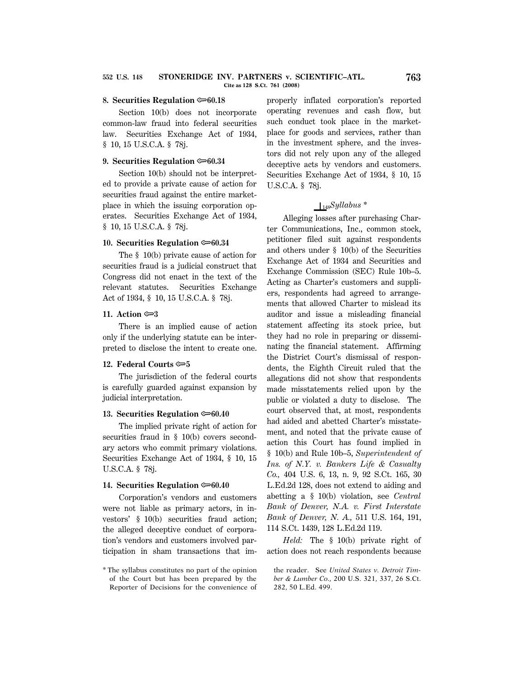#### **8. Securities Regulation**  $\approx 60.18$

Section 10(b) does not incorporate common-law fraud into federal securities law. Securities Exchange Act of 1934, § 10, 15 U.S.C.A. § 78j.

## **9. Securities Regulation**  $\approx 60.34$

Section 10(b) should not be interpreted to provide a private cause of action for securities fraud against the entire marketplace in which the issuing corporation operates. Securities Exchange Act of 1934, § 10, 15 U.S.C.A. § 78j.

#### **10. Securities Regulation**  $\approx 60.34$

The § 10(b) private cause of action for securities fraud is a judicial construct that Congress did not enact in the text of the relevant statutes. Securities Exchange Act of 1934, § 10, 15 U.S.C.A. § 78j.

#### **11.** Action  $\approx 3$

There is an implied cause of action only if the underlying statute can be interpreted to disclose the intent to create one.

#### **12. Federal Courts**  $\approx 5$

The jurisdiction of the federal courts is carefully guarded against expansion by judicial interpretation.

## **13. Securities Regulation**  $\approx 60.40$

The implied private right of action for securities fraud in § 10(b) covers secondary actors who commit primary violations. Securities Exchange Act of 1934, § 10, 15 U.S.C.A. § 78j.

#### **14. Securities Regulation**  $\approx 60.40$

Corporation's vendors and customers were not liable as primary actors, in investors' § 10(b) securities fraud action; the alleged deceptive conduct of corporation's vendors and customers involved participation in sham transactions that improperly inflated corporation's reported operating revenues and cash flow, but such conduct took place in the marketplace for goods and services, rather than in the investment sphere, and the investors did not rely upon any of the alleged deceptive acts by vendors and customers. Securities Exchange Act of 1934, § 10, 15 U.S.C.A. § 78j.

# S148*Syllabus \**

Alleging losses after purchasing Charter Communications, Inc., common stock, petitioner filed suit against respondents and others under § 10(b) of the Securities Exchange Act of 1934 and Securities and Exchange Commission (SEC) Rule 10b–5. Acting as Charter's customers and suppliers, respondents had agreed to arrangements that allowed Charter to mislead its auditor and issue a misleading financial statement affecting its stock price, but they had no role in preparing or disseminating the financial statement. Affirming the District Court's dismissal of respondents, the Eighth Circuit ruled that the allegations did not show that respondents made misstatements relied upon by the public or violated a duty to disclose. The court observed that, at most, respondents had aided and abetted Charter's misstatement, and noted that the private cause of action this Court has found implied in § 10(b) and Rule 10b–5, *Superintendent of Ins. of N.Y. v. Bankers Life & Casualty Co.,* 404 U.S. 6, 13, n. 9, 92 S.Ct. 165, 30 L.Ed.2d 128, does not extend to aiding and abetting a § 10(b) violation, see *Central Bank of Denver, N.A. v. First Interstate Bank of Denver, N. A.,* 511 U.S. 164, 191, 114 S.Ct. 1439, 128 L.Ed.2d 119.

*Held:* The § 10(b) private right of action does not reach respondents because

<sup>\*</sup> The syllabus constitutes no part of the opinion of the Court but has been prepared by the Reporter of Decisions for the convenience of

the reader. See *United States v. Detroit Timber & Lumber Co.,* 200 U.S. 321, 337, 26 S.Ct. 282, 50 L.Ed. 499.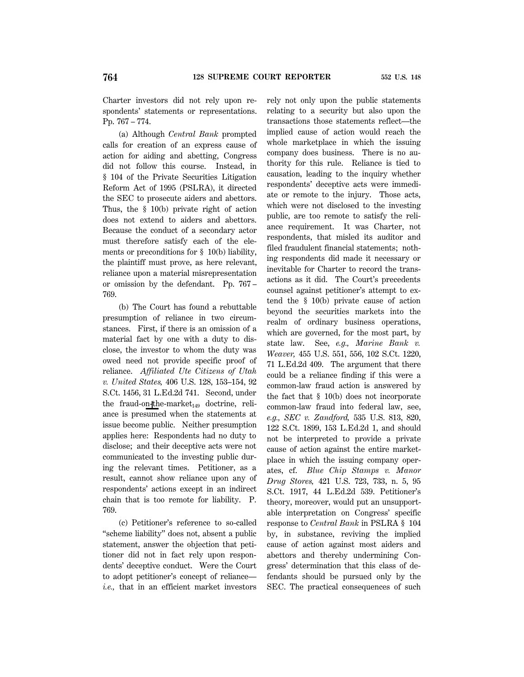Charter investors did not rely upon respondents' statements or representations. Pp. 767 – 774.

(a) Although *Central Bank* prompted calls for creation of an express cause of action for aiding and abetting, Congress did not follow this course. Instead, in § 104 of the Private Securities Litigation Reform Act of 1995 (PSLRA), it directed the SEC to prosecute aiders and abettors. Thus, the § 10(b) private right of action does not extend to aiders and abettors. Because the conduct of a secondary actor must therefore satisfy each of the elements or preconditions for § 10(b) liability, the plaintiff must prove, as here relevant, reliance upon a material misrepresentation or omission by the defendant. Pp. 767 – 769.

(b) The Court has found a rebuttable presumption of reliance in two circumstances. First, if there is an omission of a material fact by one with a duty to disclose, the investor to whom the duty was owed need not provide specific proof of reliance. *Affiliated Ute Citizens of Utah v. United States,* 406 U.S. 128, 153–154, 92 S.Ct. 1456, 31 L.Ed.2d 741. Second, under the fraud-on-the-market<sub>149</sub> doctrine, reliance is presumed when the statements at issue become public. Neither presumption applies here: Respondents had no duty to disclose; and their deceptive acts were not communicated to the investing public during the relevant times. Petitioner, as a result, cannot show reliance upon any of respondents' actions except in an indirect chain that is too remote for liability. P. 769.

(c) Petitioner's reference to so-called ''scheme liability'' does not, absent a public statement, answer the objection that petitioner did not in fact rely upon respondents' deceptive conduct. Were the Court to adopt petitioner's concept of reliance *i.e.,* that in an efficient market investors rely not only upon the public statements relating to a security but also upon the transactions those statements reflect—the implied cause of action would reach the whole marketplace in which the issuing company does business. There is no authority for this rule. Reliance is tied to causation, leading to the inquiry whether respondents' deceptive acts were immediate or remote to the injury. Those acts, which were not disclosed to the investing public, are too remote to satisfy the reliance requirement. It was Charter, not respondents, that misled its auditor and filed fraudulent financial statements; nothing respondents did made it necessary or inevitable for Charter to record the transactions as it did. The Court's precedents counsel against petitioner's attempt to extend the § 10(b) private cause of action beyond the securities markets into the realm of ordinary business operations, which are governed, for the most part, by state law. See, *e.g., Marine Bank v. Weaver,* 455 U.S. 551, 556, 102 S.Ct. 1220, 71 L.Ed.2d 409. The argument that there could be a reliance finding if this were a common-law fraud action is answered by the fact that § 10(b) does not incorporate common-law fraud into federal law, see, *e.g., SEC v. Zandford,* 535 U.S. 813, 820, 122 S.Ct. 1899, 153 L.Ed.2d 1, and should not be interpreted to provide a private cause of action against the entire marketplace in which the issuing company operates, cf. *Blue Chip Stamps v. Manor Drug Stores,* 421 U.S. 723, 733, n. 5, 95 S.Ct. 1917, 44 L.Ed.2d 539. Petitioner's theory, moreover, would put an unsupportable interpretation on Congress' specific response to *Central Bank* in PSLRA § 104 by, in substance, reviving the implied cause of action against most aiders and abettors and thereby undermining Congress' determination that this class of defendants should be pursued only by the SEC. The practical consequences of such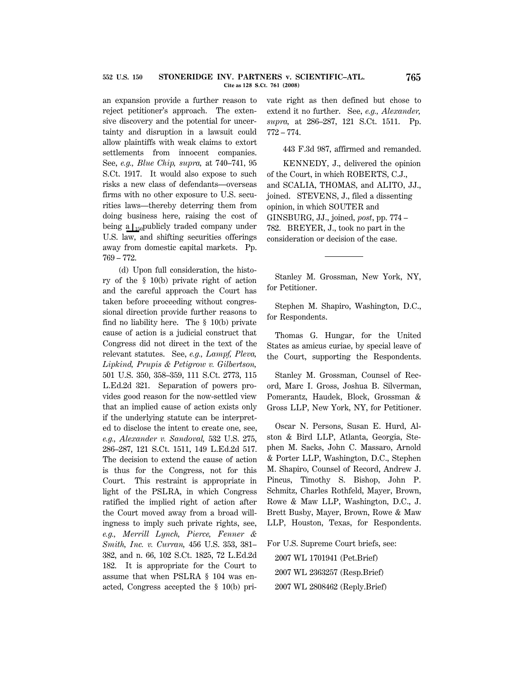an expansion provide a further reason to reject petitioner's approach. The extensive discovery and the potential for uncertainty and disruption in a lawsuit could allow plaintiffs with weak claims to extort settlements from innocent companies. See, *e.g., Blue Chip, supra,* at 740–741, 95 S.Ct. 1917. It would also expose to such risks a new class of defendants—overseas firms with no other exposure to U.S. securities laws—thereby deterring them from doing business here, raising the cost of being a  $\mathcal{L}_{150}$  publicly traded company under U.S. law, and shifting securities offerings away from domestic capital markets. Pp. 769 – 772.

(d) Upon full consideration, the history of the § 10(b) private right of action and the careful approach the Court has taken before proceeding without congressional direction provide further reasons to find no liability here. The § 10(b) private cause of action is a judicial construct that Congress did not direct in the text of the relevant statutes. See, *e.g., Lampf, Pleva, Lipkind, Prupis & Petigrow v. Gilbertson,* 501 U.S. 350, 358–359, 111 S.Ct. 2773, 115 L.Ed.2d 321. Separation of powers provides good reason for the now-settled view that an implied cause of action exists only if the underlying statute can be interpreted to disclose the intent to create one, see, *e.g., Alexander v. Sandoval,* 532 U.S. 275, 286–287, 121 S.Ct. 1511, 149 L.Ed.2d 517. The decision to extend the cause of action is thus for the Congress, not for this Court. This restraint is appropriate in light of the PSLRA, in which Congress ratified the implied right of action after the Court moved away from a broad willingness to imply such private rights, see, *e.g., Merrill Lynch, Pierce, Fenner & Smith, Inc. v. Curran,* 456 U.S. 353, 381– 382, and n. 66, 102 S.Ct. 1825, 72 L.Ed.2d 182. It is appropriate for the Court to assume that when PSLRA § 104 was enacted, Congress accepted the § 10(b) private right as then defined but chose to extend it no further. See, *e.g., Alexander, supra,* at 286–287, 121 S.Ct. 1511. Pp. 772 – 774.

443 F.3d 987, affirmed and remanded.

KENNEDY, J., delivered the opinion of the Court, in which ROBERTS, C.J., and SCALIA, THOMAS, and ALITO, JJ., joined. STEVENS, J., filed a dissenting opinion, in which SOUTER and GINSBURG, JJ., joined, *post*, pp. 774 – 782. BREYER, J., took no part in the consideration or decision of the case.

Stanley M. Grossman, New York, NY, for Petitioner.

Stephen M. Shapiro, Washington, D.C., for Respondents.

Thomas G. Hungar, for the United States as amicus curiae, by special leave of the Court, supporting the Respondents.

Stanley M. Grossman, Counsel of Record, Marc I. Gross, Joshua B. Silverman, Pomerantz, Haudek, Block, Grossman & Gross LLP, New York, NY, for Petitioner.

Oscar N. Persons, Susan E. Hurd, Alston & Bird LLP, Atlanta, Georgia, Stephen M. Sacks, John C. Massaro, Arnold & Porter LLP, Washington, D.C., Stephen M. Shapiro, Counsel of Record, Andrew J. Pincus, Timothy S. Bishop, John P. Schmitz, Charles Rothfeld, Mayer, Brown, Rowe & Maw LLP, Washington, D.C., J. Brett Busby, Mayer, Brown, Rowe & Maw LLP, Houston, Texas, for Respondents.

For U.S. Supreme Court briefs, see:

2007 WL 1701941 (Pet.Brief) 2007 WL 2363257 (Resp.Brief) 2007 WL 2808462 (Reply.Brief)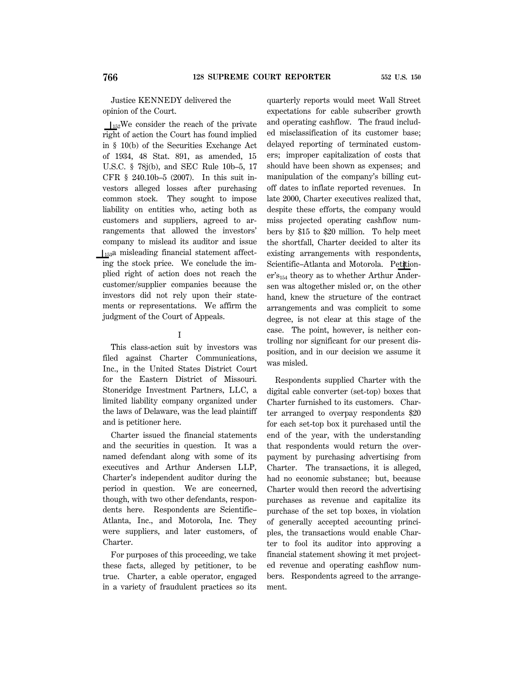Justice KENNEDY delivered the opinion of the Court.

 $1_{152}$ We consider the reach of the private right of action the Court has found implied in § 10(b) of the Securities Exchange Act of 1934, 48 Stat. 891, as amended, 15 U.S.C. § 78j(b), and SEC Rule 10b–5, 17 CFR § 240.10b–5 (2007). In this suit investors alleged losses after purchasing common stock. They sought to impose liability on entities who, acting both as customers and suppliers, agreed to arrangements that allowed the investors' company to mislead its auditor and issue  $\int_{153}$ a misleading financial statement affecting the stock price. We conclude the implied right of action does not reach the customer/supplier companies because the investors did not rely upon their statements or representations. We affirm the judgment of the Court of Appeals.

#### I

This class-action suit by investors was filed against Charter Communications, Inc., in the United States District Court for the Eastern District of Missouri. Stoneridge Investment Partners, LLC, a limited liability company organized under the laws of Delaware, was the lead plaintiff and is petitioner here.

Charter issued the financial statements and the securities in question. It was a named defendant along with some of its executives and Arthur Andersen LLP, Charter's independent auditor during the period in question. We are concerned, though, with two other defendants, respondents here. Respondents are Scientific– Atlanta, Inc., and Motorola, Inc. They were suppliers, and later customers, of Charter.

For purposes of this proceeding, we take these facts, alleged by petitioner, to be true. Charter, a cable operator, engaged in a variety of fraudulent practices so its

quarterly reports would meet Wall Street expectations for cable subscriber growth and operating cashflow. The fraud included misclassification of its customer base; delayed reporting of terminated customers; improper capitalization of costs that should have been shown as expenses; and manipulation of the company's billing cutoff dates to inflate reported revenues. In late 2000, Charter executives realized that, despite these efforts, the company would miss projected operating cashflow numbers by \$15 to \$20 million. To help meet the shortfall, Charter decided to alter its existing arrangements with respondents, Scientific–Atlanta and Motorola. Petition $er's<sub>154</sub>$  theory as to whether Arthur Andersen was altogether misled or, on the other hand, knew the structure of the contract arrangements and was complicit to some degree, is not clear at this stage of the case. The point, however, is neither controlling nor significant for our present disposition, and in our decision we assume it was misled.

Respondents supplied Charter with the digital cable converter (set-top) boxes that Charter furnished to its customers. Charter arranged to overpay respondents \$20 for each set-top box it purchased until the end of the year, with the understanding that respondents would return the overpayment by purchasing advertising from Charter. The transactions, it is alleged, had no economic substance; but, because Charter would then record the advertising purchases as revenue and capitalize its purchase of the set top boxes, in violation of generally accepted accounting principles, the transactions would enable Charter to fool its auditor into approving a financial statement showing it met projected revenue and operating cashflow numbers. Respondents agreed to the arrangement.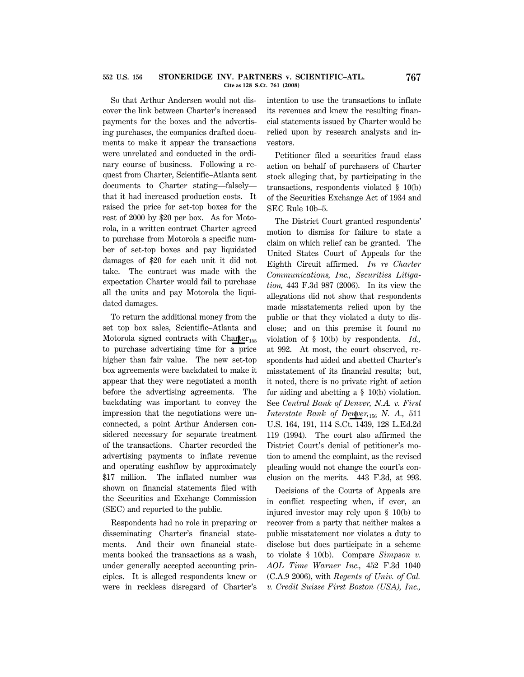So that Arthur Andersen would not discover the link between Charter's increased payments for the boxes and the advertising purchases, the companies drafted documents to make it appear the transactions were unrelated and conducted in the ordinary course of business. Following a request from Charter, Scientific–Atlanta sent documents to Charter stating—falsely that it had increased production costs. It raised the price for set-top boxes for the rest of 2000 by \$20 per box. As for Motorola, in a written contract Charter agreed to purchase from Motorola a specific number of set-top boxes and pay liquidated damages of \$20 for each unit it did not take. The contract was made with the expectation Charter would fail to purchase all the units and pay Motorola the liquidated damages.

To return the additional money from the set top box sales, Scientific–Atlanta and Motorola signed contracts with Charter<sub>155</sub> to purchase advertising time for a price higher than fair value. The new set-top box agreements were backdated to make it appear that they were negotiated a month before the advertising agreements. The backdating was important to convey the impression that the negotiations were unconnected, a point Arthur Andersen considered necessary for separate treatment of the transactions. Charter recorded the advertising payments to inflate revenue and operating cashflow by approximately \$17 million. The inflated number was shown on financial statements filed with the Securities and Exchange Commission (SEC) and reported to the public.

Respondents had no role in preparing or disseminating Charter's financial statements. And their own financial statements booked the transactions as a wash, under generally accepted accounting principles. It is alleged respondents knew or were in reckless disregard of Charter's intention to use the transactions to inflate its revenues and knew the resulting financial statements issued by Charter would be relied upon by research analysts and investors.

Petitioner filed a securities fraud class action on behalf of purchasers of Charter stock alleging that, by participating in the transactions, respondents violated § 10(b) of the Securities Exchange Act of 1934 and SEC Rule 10b–5.

The District Court granted respondents' motion to dismiss for failure to state a claim on which relief can be granted. The United States Court of Appeals for the Eighth Circuit affirmed. *In re Charter Communications, Inc., Securities Litigation,* 443 F.3d 987 (2006). In its view the allegations did not show that respondents made misstatements relied upon by the public or that they violated a duty to disclose; and on this premise it found no violation of § 10(b) by respondents. *Id.,* at 992. At most, the court observed, respondents had aided and abetted Charter's misstatement of its financial results; but, it noted, there is no private right of action for aiding and abetting a § 10(b) violation. See *Central Bank of Denver, N.A. v. First Interstate Bank of Denver*,  $_{156}$  *N. A.*, 511 U.S. 164, 191, 114 S.Ct. 1439, 128 L.Ed.2d 119 (1994). The court also affirmed the District Court's denial of petitioner's motion to amend the complaint, as the revised pleading would not change the court's conclusion on the merits. 443 F.3d, at 993.

Decisions of the Courts of Appeals are in conflict respecting when, if ever, an injured investor may rely upon § 10(b) to recover from a party that neither makes a public misstatement nor violates a duty to disclose but does participate in a scheme to violate § 10(b). Compare *Simpson v. AOL Time Warner Inc.,* 452 F.3d 1040 (C.A.9 2006), with *Regents of Univ. of Cal. v. Credit Suisse First Boston (USA), Inc.,*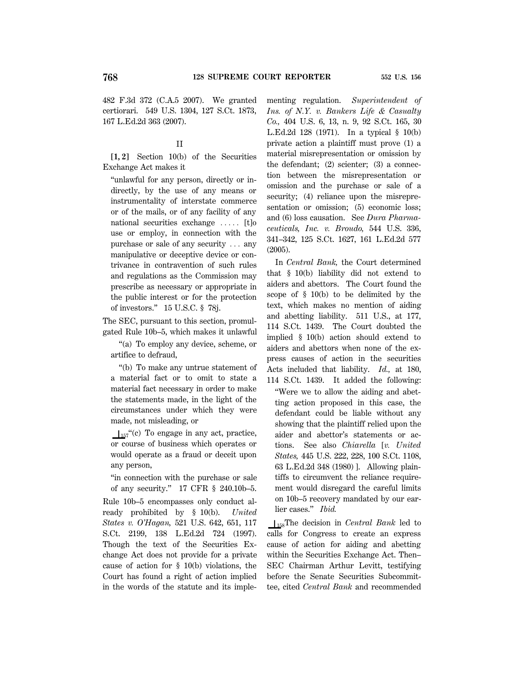482 F.3d 372 (C.A.5 2007). We granted certiorari. 549 U.S. 1304, 127 S.Ct. 1873, 167 L.Ed.2d 363 (2007).

## II

**[1, 2]** Section 10(b) of the Securities Exchange Act makes it

''unlawful for any person, directly or indirectly, by the use of any means or instrumentality of interstate commerce or of the mails, or of any facility of any national securities exchange  $\ldots$  [t]o use or employ, in connection with the purchase or sale of any security  $\ldots$  any manipulative or deceptive device or contrivance in contravention of such rules and regulations as the Commission may prescribe as necessary or appropriate in the public interest or for the protection of investors.'' 15 U.S.C. § 78j.

The SEC, pursuant to this section, promulgated Rule 10b–5, which makes it unlawful

''(a) To employ any device, scheme, or artifice to defraud,

''(b) To make any untrue statement of a material fact or to omit to state a material fact necessary in order to make the statements made, in the light of the circumstances under which they were made, not misleading, or

 $\perp$ <sub>157</sub>"(c) To engage in any act, practice, or course of business which operates or would operate as a fraud or deceit upon any person,

''in connection with the purchase or sale of any security.'' 17 CFR § 240.10b–5.

Rule 10b–5 encompasses only conduct already prohibited by § 10(b). *United States v. O'Hagan,* 521 U.S. 642, 651, 117 S.Ct. 2199, 138 L.Ed.2d 724 (1997). Though the text of the Securities Exchange Act does not provide for a private cause of action for § 10(b) violations, the Court has found a right of action implied in the words of the statute and its implementing regulation. *Superintendent of Ins. of N.Y. v. Bankers Life & Casualty Co.,* 404 U.S. 6, 13, n. 9, 92 S.Ct. 165, 30 L.Ed.2d 128 (1971). In a typical § 10(b) private action a plaintiff must prove (1) a material misrepresentation or omission by the defendant; (2) scienter; (3) a connection between the misrepresentation or omission and the purchase or sale of a security; (4) reliance upon the misrepresentation or omission; (5) economic loss; and (6) loss causation. See *Dura Pharmaceuticals, Inc. v. Broudo,* 544 U.S. 336, 341–342, 125 S.Ct. 1627, 161 L.Ed.2d 577 (2005).

In *Central Bank,* the Court determined that § 10(b) liability did not extend to aiders and abettors. The Court found the scope of § 10(b) to be delimited by the text, which makes no mention of aiding and abetting liability. 511 U.S., at 177, 114 S.Ct. 1439. The Court doubted the implied § 10(b) action should extend to aiders and abettors when none of the express causes of action in the securities Acts included that liability. *Id.,* at 180, 114 S.Ct. 1439. It added the following:

''Were we to allow the aiding and abetting action proposed in this case, the defendant could be liable without any showing that the plaintiff relied upon the aider and abettor's statements or actions. See also *Chiarella* [*v. United States,* 445 U.S. 222, 228, 100 S.Ct. 1108, 63 L.Ed.2d 348 (1980) ]. Allowing plaintiffs to circumvent the reliance requirement would disregard the careful limits on 10b–5 recovery mandated by our earlier cases.'' *Ibid.*

S158The decision in *Central Bank* led to calls for Congress to create an express cause of action for aiding and abetting within the Securities Exchange Act. Then– SEC Chairman Arthur Levitt, testifying before the Senate Securities Subcommittee, cited *Central Bank* and recommended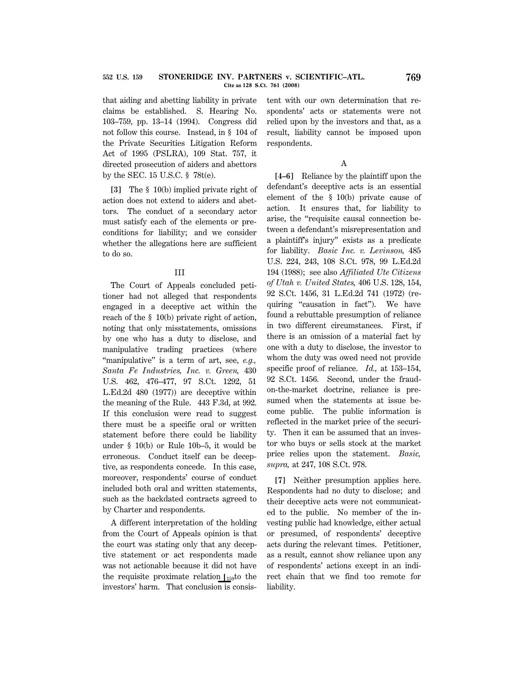that aiding and abetting liability in private claims be established. S. Hearing No. 103–759, pp. 13–14 (1994). Congress did not follow this course. Instead, in § 104 of the Private Securities Litigation Reform Act of 1995 (PSLRA), 109 Stat. 757, it directed prosecution of aiders and abettors by the SEC. 15 U.S.C. § 78t(e).

**[3]** The § 10(b) implied private right of action does not extend to aiders and abettors. The conduct of a secondary actor must satisfy each of the elements or preconditions for liability; and we consider whether the allegations here are sufficient to do so.

## III

The Court of Appeals concluded petitioner had not alleged that respondents engaged in a deceptive act within the reach of the § 10(b) private right of action, noting that only misstatements, omissions by one who has a duty to disclose, and manipulative trading practices (where "manipulative" is a term of art, see, *e.g.*, *Santa Fe Industries, Inc. v. Green,* 430 U.S. 462, 476–477, 97 S.Ct. 1292, 51 L.Ed.2d 480 (1977)) are deceptive within the meaning of the Rule. 443 F.3d, at 992. If this conclusion were read to suggest there must be a specific oral or written statement before there could be liability under § 10(b) or Rule 10b–5, it would be erroneous. Conduct itself can be deceptive, as respondents concede. In this case, moreover, respondents' course of conduct included both oral and written statements, such as the backdated contracts agreed to by Charter and respondents.

A different interpretation of the holding from the Court of Appeals opinion is that the court was stating only that any deceptive statement or act respondents made was not actionable because it did not have the requisite proximate relation  $\mathcal{L}_{159}$ to the investors' harm. That conclusion is consistent with our own determination that respondents' acts or statements were not relied upon by the investors and that, as a result, liability cannot be imposed upon respondents.

### A

**[4–6]** Reliance by the plaintiff upon the defendant's deceptive acts is an essential element of the § 10(b) private cause of action. It ensures that, for liability to arise, the ''requisite causal connection between a defendant's misrepresentation and a plaintiff's injury'' exists as a predicate for liability. *Basic Inc. v. Levinson,* 485 U.S. 224, 243, 108 S.Ct. 978, 99 L.Ed.2d 194 (1988); see also *Affiliated Ute Citizens of Utah v. United States,* 406 U.S. 128, 154, 92 S.Ct. 1456, 31 L.Ed.2d 741 (1972) (requiring "causation in fact"). We have found a rebuttable presumption of reliance in two different circumstances. First, if there is an omission of a material fact by one with a duty to disclose, the investor to whom the duty was owed need not provide specific proof of reliance. *Id.,* at 153–154, 92 S.Ct. 1456. Second, under the fraudon-the-market doctrine, reliance is presumed when the statements at issue become public. The public information is reflected in the market price of the security. Then it can be assumed that an investor who buys or sells stock at the market price relies upon the statement. *Basic, supra,* at 247, 108 S.Ct. 978.

**[7]** Neither presumption applies here. Respondents had no duty to disclose; and their deceptive acts were not communicated to the public. No member of the investing public had knowledge, either actual or presumed, of respondents' deceptive acts during the relevant times. Petitioner, as a result, cannot show reliance upon any of respondents' actions except in an indirect chain that we find too remote for liability.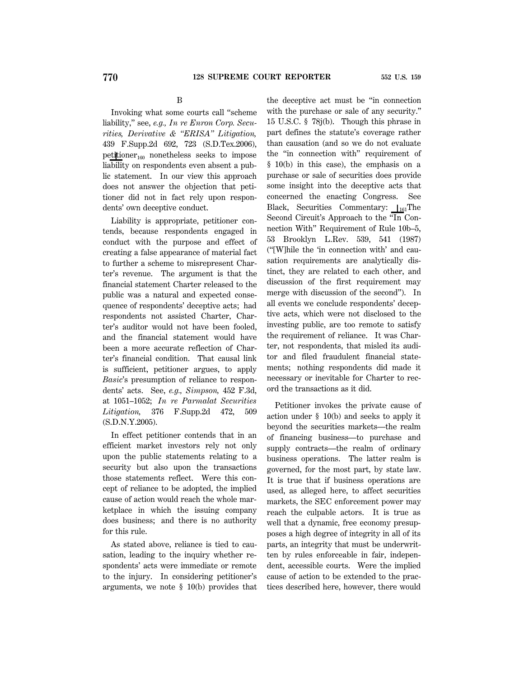B

Invoking what some courts call ''scheme liability,'' see, *e.g., In re Enron Corp. Securities, Derivative & ''ERISA'' Litigation,* 439 F.Supp.2d 692, 723 (S.D.Tex.2006), petitioner $_{160}$  nonetheless seeks to impose liability on respondents even absent a public statement. In our view this approach does not answer the objection that petitioner did not in fact rely upon respondents' own deceptive conduct.

Liability is appropriate, petitioner contends, because respondents engaged in conduct with the purpose and effect of creating a false appearance of material fact to further a scheme to misrepresent Charter's revenue. The argument is that the financial statement Charter released to the public was a natural and expected consequence of respondents' deceptive acts; had respondents not assisted Charter, Charter's auditor would not have been fooled, and the financial statement would have been a more accurate reflection of Charter's financial condition. That causal link is sufficient, petitioner argues, to apply *Basic*'s presumption of reliance to respondents' acts. See, *e.g., Simpson,* 452 F.3d, at 1051–1052; *In re Parmalat Securities Litigation,* 376 F.Supp.2d 472, 509 (S.D.N.Y.2005).

In effect petitioner contends that in an efficient market investors rely not only upon the public statements relating to a security but also upon the transactions those statements reflect. Were this concept of reliance to be adopted, the implied cause of action would reach the whole marketplace in which the issuing company does business; and there is no authority for this rule.

As stated above, reliance is tied to causation, leading to the inquiry whether respondents' acts were immediate or remote to the injury. In considering petitioner's arguments, we note § 10(b) provides that the deceptive act must be ''in connection with the purchase or sale of any security." 15 U.S.C. § 78j(b). Though this phrase in part defines the statute's coverage rather than causation (and so we do not evaluate the "in connection with" requirement of § 10(b) in this case), the emphasis on a purchase or sale of securities does provide some insight into the deceptive acts that concerned the enacting Congress. See Black, Securities Commentary:  $I_{161}$ The Second Circuit's Approach to the "In Connection With'' Requirement of Rule 10b–5, 53 Brooklyn L.Rev. 539, 541 (1987) (''[W]hile the 'in connection with' and causation requirements are analytically distinct, they are related to each other, and discussion of the first requirement may merge with discussion of the second''). In all events we conclude respondents' deceptive acts, which were not disclosed to the investing public, are too remote to satisfy the requirement of reliance. It was Charter, not respondents, that misled its auditor and filed fraudulent financial statements; nothing respondents did made it necessary or inevitable for Charter to record the transactions as it did.

Petitioner invokes the private cause of action under § 10(b) and seeks to apply it beyond the securities markets—the realm of financing business—to purchase and supply contracts—the realm of ordinary business operations. The latter realm is governed, for the most part, by state law. It is true that if business operations are used, as alleged here, to affect securities markets, the SEC enforcement power may reach the culpable actors. It is true as well that a dynamic, free economy presupposes a high degree of integrity in all of its parts, an integrity that must be underwritten by rules enforceable in fair, independent, accessible courts. Were the implied cause of action to be extended to the practices described here, however, there would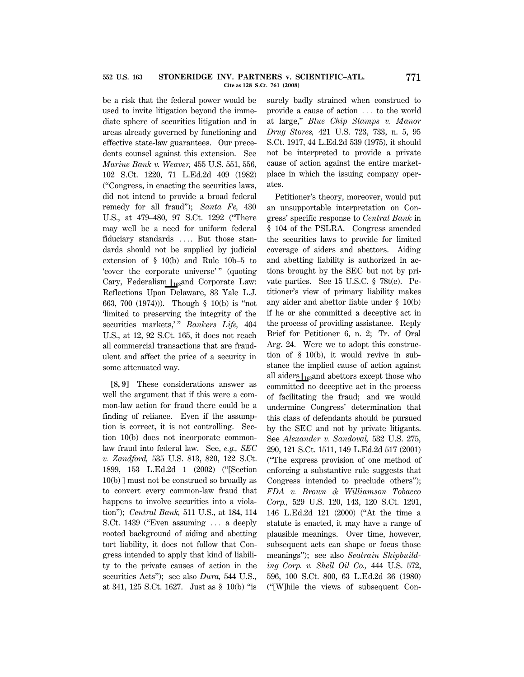be a risk that the federal power would be used to invite litigation beyond the immediate sphere of securities litigation and in areas already governed by functioning and effective state-law guarantees. Our precedents counsel against this extension. See *Marine Bank v. Weaver,* 455 U.S. 551, 556, 102 S.Ct. 1220, 71 L.Ed.2d 409 (1982) (''Congress, in enacting the securities laws, did not intend to provide a broad federal remedy for all fraud''); *Santa Fe,* 430 U.S., at 479–480, 97 S.Ct. 1292 (''There may well be a need for uniform federal fiduciary standards .... But those standards should not be supplied by judicial extension of § 10(b) and Rule 10b–5 to 'cover the corporate universe'" (quoting Cary, Federalism  $\bigcup_{162}$ and Corporate Law: Reflections Upon Delaware, 83 Yale L.J. 663, 700 (1974))). Though § 10(b) is ''not 'limited to preserving the integrity of the securities markets," *Bankers Life*, 404 U.S., at 12, 92 S.Ct. 165, it does not reach all commercial transactions that are fraudulent and affect the price of a security in some attenuated way.

**[8, 9]** These considerations answer as well the argument that if this were a common-law action for fraud there could be a finding of reliance. Even if the assumption is correct, it is not controlling. Section 10(b) does not incorporate commonlaw fraud into federal law. See, *e.g., SEC v. Zandford,* 535 U.S. 813, 820, 122 S.Ct. 1899, 153 L.Ed.2d 1 (2002) (''[Section 10(b) ] must not be construed so broadly as to convert every common-law fraud that happens to involve securities into a violation''); *Central Bank,* 511 U.S., at 184, 114 S.Ct. 1439 ("Even assuming  $\ldots$  a deeply rooted background of aiding and abetting tort liability, it does not follow that Congress intended to apply that kind of liability to the private causes of action in the securities Acts''); see also *Dura,* 544 U.S., at 341, 125 S.Ct. 1627. Just as § 10(b) ''is surely badly strained when construed to provide a cause of action  $\ldots$  to the world at large,'' *Blue Chip Stamps v. Manor Drug Stores,* 421 U.S. 723, 733, n. 5, 95 S.Ct. 1917, 44 L.Ed.2d 539 (1975), it should not be interpreted to provide a private cause of action against the entire marketplace in which the issuing company operates.

Petitioner's theory, moreover, would put an unsupportable interpretation on Congress' specific response to *Central Bank* in § 104 of the PSLRA. Congress amended the securities laws to provide for limited coverage of aiders and abettors. Aiding and abetting liability is authorized in actions brought by the SEC but not by private parties. See 15 U.S.C. § 78t(e). Petitioner's view of primary liability makes any aider and abettor liable under § 10(b) if he or she committed a deceptive act in the process of providing assistance. Reply Brief for Petitioner 6, n. 2; Tr. of Oral Arg. 24. Were we to adopt this construction of § 10(b), it would revive in substance the implied cause of action against all aiders  $\vert_{163}$  and abettors except those who committed no deceptive act in the process of facilitating the fraud; and we would undermine Congress' determination that this class of defendants should be pursued by the SEC and not by private litigants. See *Alexander v. Sandoval,* 532 U.S. 275, 290, 121 S.Ct. 1511, 149 L.Ed.2d 517 (2001) (''The express provision of one method of enforcing a substantive rule suggests that Congress intended to preclude others''); *FDA v. Brown & Williamson Tobacco Corp.,* 529 U.S. 120, 143, 120 S.Ct. 1291, 146 L.Ed.2d 121 (2000) (''At the time a statute is enacted, it may have a range of plausible meanings. Over time, however, subsequent acts can shape or focus those meanings''); see also *Seatrain Shipbuilding Corp. v. Shell Oil Co.,* 444 U.S. 572, 596, 100 S.Ct. 800, 63 L.Ed.2d 36 (1980) (''[W]hile the views of subsequent Con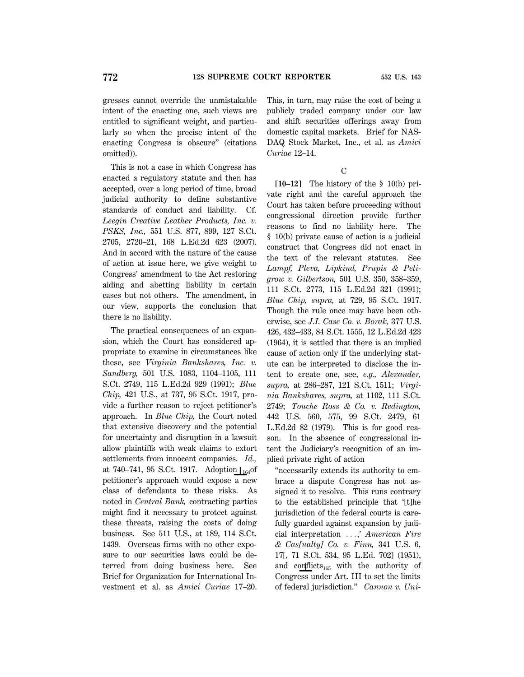gresses cannot override the unmistakable intent of the enacting one, such views are entitled to significant weight, and particularly so when the precise intent of the enacting Congress is obscure'' (citations omitted)).

This is not a case in which Congress has enacted a regulatory statute and then has accepted, over a long period of time, broad judicial authority to define substantive standards of conduct and liability. Cf. *Leegin Creative Leather Products, Inc. v. PSKS, Inc.,* 551 U.S. 877, 899, 127 S.Ct. 2705, 2720–21, 168 L.Ed.2d 623 (2007). And in accord with the nature of the cause of action at issue here, we give weight to Congress' amendment to the Act restoring aiding and abetting liability in certain cases but not others. The amendment, in our view, supports the conclusion that there is no liability.

The practical consequences of an expansion, which the Court has considered appropriate to examine in circumstances like these, see *Virginia Bankshares, Inc. v. Sandberg,* 501 U.S. 1083, 1104–1105, 111 S.Ct. 2749, 115 L.Ed.2d 929 (1991); *Blue Chip,* 421 U.S., at 737, 95 S.Ct. 1917, provide a further reason to reject petitioner's approach. In *Blue Chip,* the Court noted that extensive discovery and the potential for uncertainty and disruption in a lawsuit allow plaintiffs with weak claims to extort settlements from innocent companies. *Id.,* at 740–741, 95 S.Ct. 1917. Adoption  $\frac{1}{64}$ of petitioner's approach would expose a new class of defendants to these risks. As noted in *Central Bank,* contracting parties might find it necessary to protect against these threats, raising the costs of doing business. See 511 U.S., at 189, 114 S.Ct. 1439*.* Overseas firms with no other exposure to our securities laws could be deterred from doing business here. See Brief for Organization for International Investment et al. as *Amici Curiae* 17–20.

This, in turn, may raise the cost of being a publicly traded company under our law and shift securities offerings away from domestic capital markets. Brief for NAS-DAQ Stock Market, Inc., et al. as *Amici Curiae* 12–14.

C

**[10–12]** The history of the § 10(b) private right and the careful approach the Court has taken before proceeding without congressional direction provide further reasons to find no liability here. The § 10(b) private cause of action is a judicial construct that Congress did not enact in the text of the relevant statutes. See *Lampf, Pleva, Lipkind, Prupis & Petigrow v. Gilbertson,* 501 U.S. 350, 358–359, 111 S.Ct. 2773, 115 L.Ed.2d 321 (1991); *Blue Chip, supra,* at 729, 95 S.Ct. 1917. Though the rule once may have been otherwise, see *J.I. Case Co. v. Borak,* 377 U.S. 426, 432–433, 84 S.Ct. 1555, 12 L.Ed.2d 423 (1964), it is settled that there is an implied cause of action only if the underlying statute can be interpreted to disclose the intent to create one, see, *e.g., Alexander, supra,* at 286–287, 121 S.Ct. 1511; *Virginia Bankshares, supra,* at 1102, 111 S.Ct. 2749; *Touche Ross & Co. v. Redington,* 442 U.S. 560, 575, 99 S.Ct. 2479, 61 L.Ed.2d 82 (1979). This is for good reason. In the absence of congressional intent the Judiciary's recognition of an implied private right of action

''necessarily extends its authority to embrace a dispute Congress has not assigned it to resolve. This runs contrary to the established principle that '[t]he jurisdiction of the federal courts is carefully guarded against expansion by judicial interpretation ...,' *American Fire & Cas[ualty] Co. v. Finn,* 341 U.S. 6, 17[, 71 S.Ct. 534, 95 L.Ed. 702] (1951), and conflicts<sub>165</sub> with the authority of Congress under Art. III to set the limits of federal jurisdiction.'' *Cannon v. Uni*-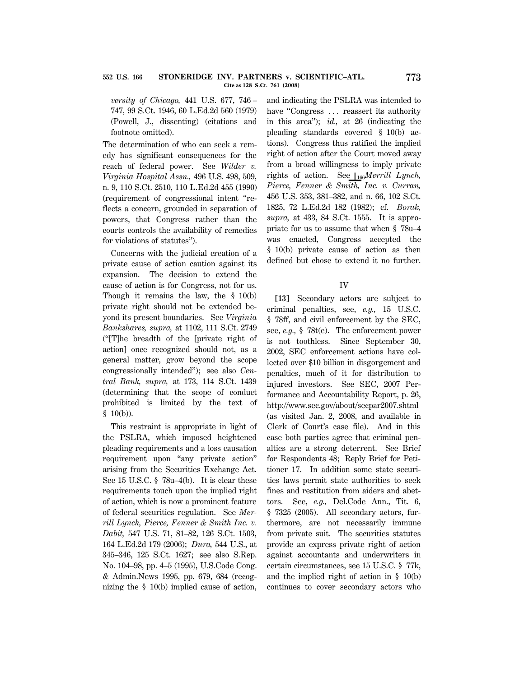*versity of Chicago,* 441 U.S. 677, 746 – 747, 99 S.Ct. 1946, 60 L.Ed.2d 560 (1979) (Powell, J., dissenting) (citations and footnote omitted).

The determination of who can seek a remedy has significant consequences for the reach of federal power. See *Wilder v. Virginia Hospital Assn.,* 496 U.S. 498, 509, n. 9, 110 S.Ct. 2510, 110 L.Ed.2d 455 (1990) (requirement of congressional intent ''reflects a concern, grounded in separation of powers, that Congress rather than the courts controls the availability of remedies for violations of statutes'').

Concerns with the judicial creation of a private cause of action caution against its expansion. The decision to extend the cause of action is for Congress, not for us. Though it remains the law, the § 10(b) private right should not be extended beyond its present boundaries. See *Virginia Bankshares, supra,* at 1102, 111 S.Ct. 2749 (''[T]he breadth of the [private right of action] once recognized should not, as a general matter, grow beyond the scope congressionally intended''); see also *Central Bank, supra,* at 173, 114 S.Ct. 1439 (determining that the scope of conduct prohibited is limited by the text of § 10(b)).

This restraint is appropriate in light of the PSLRA, which imposed heightened pleading requirements and a loss causation requirement upon ''any private action'' arising from the Securities Exchange Act. See 15 U.S.C. § 78u–4(b). It is clear these requirements touch upon the implied right of action, which is now a prominent feature of federal securities regulation. See *Merrill Lynch, Pierce, Fenner & Smith Inc. v. Dabit,* 547 U.S. 71, 81–82, 126 S.Ct. 1503, 164 L.Ed.2d 179 (2006); *Dura,* 544 U.S., at 345–346, 125 S.Ct. 1627; see also S.Rep. No. 104–98, pp. 4–5 (1995), U.S.Code Cong. & Admin.News 1995, pp. 679, 684 (recognizing the § 10(b) implied cause of action,

and indicating the PSLRA was intended to have "Congress ... reassert its authority in this area''); *id.,* at 26 (indicating the pleading standards covered § 10(b) actions). Congress thus ratified the implied right of action after the Court moved away from a broad willingness to imply private rights of action. See  $\iota_{166}$ *Merrill Lynch*, *Pierce, Fenner & Smith, Inc. v. Curran,* 456 U.S. 353, 381–382, and n. 66, 102 S.Ct. 1825, 72 L.Ed.2d 182 (1982); cf. *Borak, supra,* at 433, 84 S.Ct. 1555. It is appropriate for us to assume that when § 78u–4 was enacted, Congress accepted the § 10(b) private cause of action as then defined but chose to extend it no further.

### IV

**[13]** Secondary actors are subject to criminal penalties, see, *e.g.,* 15 U.S.C. § 78ff, and civil enforcement by the SEC, see, *e.g.,* § 78t(e). The enforcement power is not toothless. Since September 30, 2002, SEC enforcement actions have collected over \$10 billion in disgorgement and penalties, much of it for distribution to injured investors. See SEC, 2007 Performance and Accountability Report, p. 26, http://www.sec.gov/about/secpar2007.shtml (as visited Jan. 2, 2008, and available in Clerk of Court's case file). And in this case both parties agree that criminal penalties are a strong deterrent. See Brief for Respondents 48; Reply Brief for Petitioner 17. In addition some state securities laws permit state authorities to seek fines and restitution from aiders and abettors. See, *e.g.,* Del.Code Ann., Tit. 6, § 7325 (2005). All secondary actors, furthermore, are not necessarily immune from private suit. The securities statutes provide an express private right of action against accountants and underwriters in certain circumstances, see 15 U.S.C. § 77k, and the implied right of action in § 10(b) continues to cover secondary actors who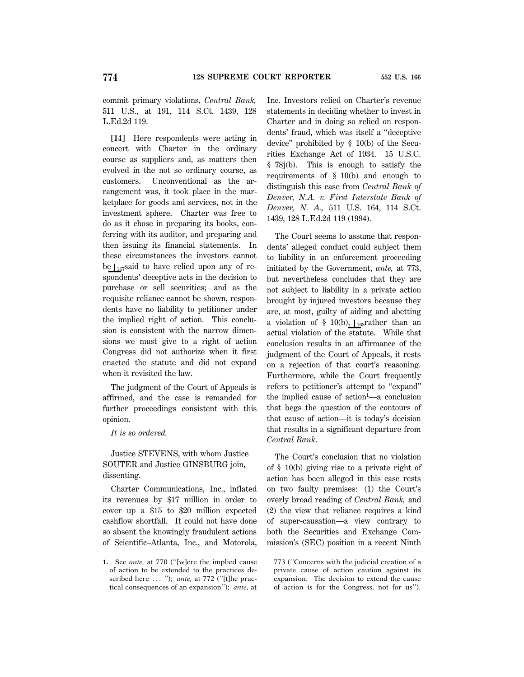commit primary violations, *Central Bank,* 511 U.S., at 191, 114 S.Ct. 1439, 128 L.Ed.2d 119.

**[14]** Here respondents were acting in concert with Charter in the ordinary course as suppliers and, as matters then evolved in the not so ordinary course, as customers. Unconventional as the arrangement was, it took place in the marketplace for goods and services, not in the investment sphere. Charter was free to do as it chose in preparing its books, conferring with its auditor, and preparing and then issuing its financial statements. In these circumstances the investors cannot be  $\int_{167}$ said to have relied upon any of respondents' deceptive acts in the decision to purchase or sell securities; and as the requisite reliance cannot be shown, respondents have no liability to petitioner under the implied right of action. This conclusion is consistent with the narrow dimensions we must give to a right of action Congress did not authorize when it first enacted the statute and did not expand when it revisited the law.

The judgment of the Court of Appeals is affirmed, and the case is remanded for further proceedings consistent with this opinion.

*It is so ordered.*

Justice STEVENS, with whom Justice SOUTER and Justice GINSBURG join, dissenting.

Charter Communications, Inc., inflated its revenues by \$17 million in order to cover up a \$15 to \$20 million expected cashflow shortfall. It could not have done so absent the knowingly fraudulent actions of Scientific–Atlanta, Inc., and Motorola,

Inc. Investors relied on Charter's revenue statements in deciding whether to invest in Charter and in doing so relied on respondents' fraud, which was itself a ''deceptive device'' prohibited by § 10(b) of the Securities Exchange Act of 1934. 15 U.S.C. § 78j(b). This is enough to satisfy the requirements of § 10(b) and enough to distinguish this case from *Central Bank of Denver, N.A. v. First Interstate Bank of Denver, N. A.,* 511 U.S. 164, 114 S.Ct. 1439, 128 L.Ed.2d 119 (1994).

The Court seems to assume that respondents' alleged conduct could subject them to liability in an enforcement proceeding initiated by the Government, *ante,* at 773, but nevertheless concludes that they are not subject to liability in a private action brought by injured investors because they are, at most, guilty of aiding and abetting a violation of § 10(b),  $\vert_{168}$ rather than an actual violation of the statute. While that conclusion results in an affirmance of the judgment of the Court of Appeals, it rests on a rejection of that court's reasoning. Furthermore, while the Court frequently refers to petitioner's attempt to ''expand'' the implied cause of action**<sup>1</sup>** —a conclusion that begs the question of the contours of that cause of action—it is today's decision that results in a significant departure from *Central Bank*.

The Court's conclusion that no violation of § 10(b) giving rise to a private right of action has been alleged in this case rests on two faulty premises: (1) the Court's overly broad reading of *Central Bank,* and (2) the view that reliance requires a kind of super-causation—a view contrary to both the Securities and Exchange Commission's (SEC) position in a recent Ninth

773 (''Concerns with the judicial creation of a private cause of action caution against its expansion. The decision to extend the cause of action is for the Congress, not for us'').

**<sup>1.</sup>** See *ante,* at 770 (''[w]ere the implied cause of action to be extended to the practices described here ... "); *ante*, at 772 ("[t]he practical consequences of an expansion''); *ante,* at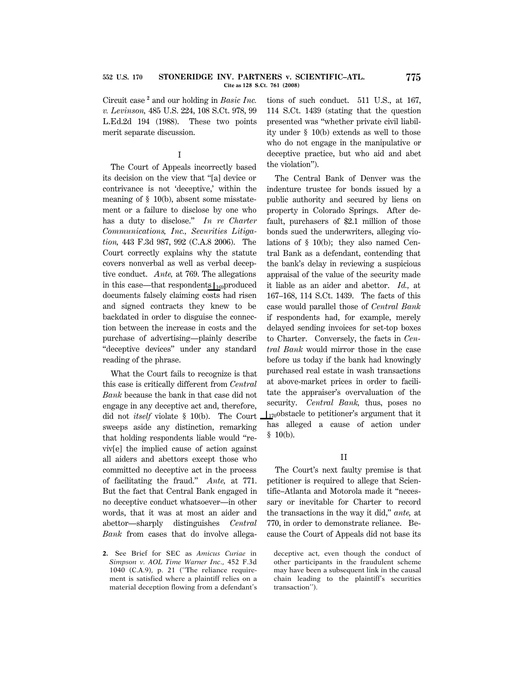#### **STONERIDGE INV. PARTNERS v. SCIENTIFIC–ATL. 775 Cite as 128 S.Ct. 761 (2008) 552 U.S. 170**

Circuit case **<sup>2</sup>** and our holding in *Basic Inc. v. Levinson,* 485 U.S. 224, 108 S.Ct. 978, 99 L.Ed.2d 194 (1988). These two points merit separate discussion.

# I

The Court of Appeals incorrectly based its decision on the view that ''[a] device or contrivance is not 'deceptive,' within the meaning of § 10(b), absent some misstatement or a failure to disclose by one who has a duty to disclose.'' *In re Charter Communications, Inc., Securities Litigation,* 443 F.3d 987, 992 (C.A.8 2006). The Court correctly explains why the statute covers nonverbal as well as verbal deceptive conduct. *Ante,* at 769. The allegations in this case—that respondents  $\mathcal{L}_{169}$  produced documents falsely claiming costs had risen and signed contracts they knew to be backdated in order to disguise the connection between the increase in costs and the purchase of advertising—plainly describe ''deceptive devices'' under any standard reading of the phrase.

What the Court fails to recognize is that this case is critically different from *Central Bank* because the bank in that case did not engage in any deceptive act and, therefore, did not *itself* violate § 10(b). The Court sweeps aside any distinction, remarking that holding respondents liable would ''reviv[e] the implied cause of action against all aiders and abettors except those who committed no deceptive act in the process of facilitating the fraud.'' *Ante,* at 771. But the fact that Central Bank engaged in no deceptive conduct whatsoever—in other words, that it was at most an aider and abettor—sharply distinguishes *Central Bank* from cases that do involve allega-

**2.** See Brief for SEC as *Amicus Curiae* in *Simpson v. AOL Time Warner Inc.,* 452 F.3d 1040 (C.A.9), p. 21 (''The reliance requirement is satisfied where a plaintiff relies on a material deception flowing from a defendant's tions of such conduct. 511 U.S., at 167, 114 S.Ct. 1439 (stating that the question presented was ''whether private civil liability under § 10(b) extends as well to those who do not engage in the manipulative or deceptive practice, but who aid and abet the violation'').

The Central Bank of Denver was the indenture trustee for bonds issued by a public authority and secured by liens on property in Colorado Springs. After default, purchasers of \$2.1 million of those bonds sued the underwriters, alleging violations of § 10(b); they also named Central Bank as a defendant, contending that the bank's delay in reviewing a suspicious appraisal of the value of the security made it liable as an aider and abettor. *Id.,* at 167–168, 114 S.Ct. 1439. The facts of this case would parallel those of *Central Bank* if respondents had, for example, merely delayed sending invoices for set-top boxes to Charter. Conversely, the facts in *Central Bank* would mirror those in the case before us today if the bank had knowingly purchased real estate in wash transactions at above-market prices in order to facilitate the appraiser's overvaluation of the security. *Central Bank,* thus, poses no  $\mathcal{L}_{170}$ obstacle to petitioner's argument that it has alleged a cause of action under  $$10(b).$ 

### II

The Court's next faulty premise is that petitioner is required to allege that Scientific–Atlanta and Motorola made it ''necessary or inevitable for Charter to record the transactions in the way it did,'' *ante,* at 770, in order to demonstrate reliance. Because the Court of Appeals did not base its

deceptive act, even though the conduct of other participants in the fraudulent scheme may have been a subsequent link in the causal chain leading to the plaintiff's securities transaction'').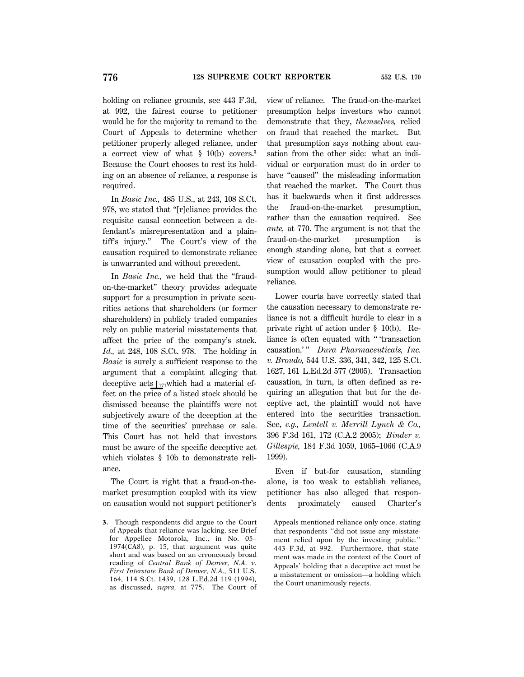holding on reliance grounds, see 443 F.3d, at 992, the fairest course to petitioner would be for the majority to remand to the Court of Appeals to determine whether petitioner properly alleged reliance, under a correct view of what § 10(b) covers.**<sup>3</sup>** Because the Court chooses to rest its holding on an absence of reliance, a response is required.

In *Basic Inc.,* 485 U.S., at 243, 108 S.Ct. 978, we stated that ''[r]eliance provides the requisite causal connection between a defendant's misrepresentation and a plaintiff's injury.'' The Court's view of the causation required to demonstrate reliance is unwarranted and without precedent.

In *Basic Inc.*, we held that the "fraudon-the-market'' theory provides adequate support for a presumption in private securities actions that shareholders (or former shareholders) in publicly traded companies rely on public material misstatements that affect the price of the company's stock. *Id.,* at 248, 108 S.Ct. 978. The holding in *Basic* is surely a sufficient response to the argument that a complaint alleging that deceptive acts  $\vert_{171}$ which had a material effect on the price of a listed stock should be dismissed because the plaintiffs were not subjectively aware of the deception at the time of the securities' purchase or sale. This Court has not held that investors must be aware of the specific deceptive act which violates § 10b to demonstrate reliance.

The Court is right that a fraud-on-themarket presumption coupled with its view on causation would not support petitioner's view of reliance. The fraud-on-the-market presumption helps investors who cannot demonstrate that they, *themselves,* relied on fraud that reached the market. But that presumption says nothing about causation from the other side: what an individual or corporation must do in order to have "caused" the misleading information that reached the market. The Court thus has it backwards when it first addresses the fraud-on-the-market presumption, rather than the causation required. See *ante,* at 770. The argument is not that the fraud-on-the-market presumption is enough standing alone, but that a correct view of causation coupled with the presumption would allow petitioner to plead reliance.

Lower courts have correctly stated that the causation necessary to demonstrate reliance is not a difficult hurdle to clear in a private right of action under § 10(b). Reliance is often equated with '' 'transaction causation.'" *Dura Pharmaceuticals, Inc. v. Broudo,* 544 U.S. 336, 341, 342, 125 S.Ct. 1627, 161 L.Ed.2d 577 (2005). Transaction causation, in turn, is often defined as requiring an allegation that but for the deceptive act, the plaintiff would not have entered into the securities transaction. See, *e.g., Lentell v. Merrill Lynch & Co.,* 396 F.3d 161, 172 (C.A.2 2005); *Binder v. Gillespie,* 184 F.3d 1059, 1065–1066 (C.A.9 1999).

Even if but-for causation, standing alone, is too weak to establish reliance, petitioner has also alleged that respondents proximately caused Charter's

Appeals mentioned reliance only once, stating that respondents ''did not issue any misstatement relied upon by the investing public.'' 443 F.3d, at 992. Furthermore, that statement was made in the context of the Court of Appeals' holding that a deceptive act must be a misstatement or omission—a holding which the Court unanimously rejects.

**<sup>3.</sup>** Though respondents did argue to the Court of Appeals that reliance was lacking, see Brief for Appellee Motorola, Inc., in No. 05– 1974(CA8), p. 15, that argument was quite short and was based on an erroneously broad reading of *Central Bank of Denver, N.A. v. First Interstate Bank of Denver, N.A.,* 511 U.S. 164, 114 S.Ct. 1439, 128 L.Ed.2d 119 (1994), as discussed, *supra,* at 775. The Court of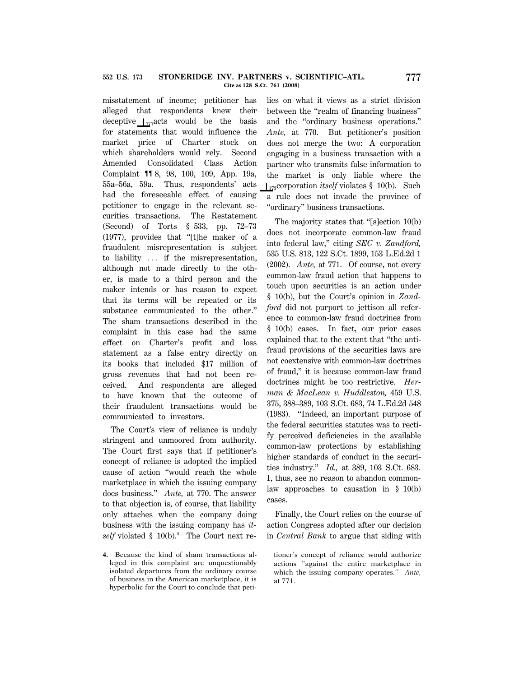misstatement of income; petitioner has alleged that respondents knew their deceptive  $\int_{777} \text{acts}$  would be the basis for statements that would influence the market price of Charter stock on which shareholders would rely. Second Amended Consolidated Class Action Complaint ¶¶ 8, 98, 100, 109, App. 19a, 55a–56a, 59a. Thus, respondents' acts had the foreseeable effect of causing petitioner to engage in the relevant securities transactions. The Restatement (Second) of Torts § 533, pp. 72–73 (1977), provides that ''[t]he maker of a fraudulent misrepresentation is subject to liability  $\ldots$  if the misrepresentation, although not made directly to the other, is made to a third person and the maker intends or has reason to expect that its terms will be repeated or its substance communicated to the other.'' The sham transactions described in the complaint in this case had the same effect on Charter's profit and loss statement as a false entry directly on its books that included \$17 million of gross revenues that had not been received. And respondents are alleged to have known that the outcome of their fraudulent transactions would be communicated to investors.

The Court's view of reliance is unduly stringent and unmoored from authority. The Court first says that if petitioner's concept of reliance is adopted the implied cause of action ''would reach the whole marketplace in which the issuing company does business.'' *Ante,* at 770. The answer to that objection is, of course, that liability only attaches when the company doing business with the issuing company has *itself* violated § 10(b).**<sup>4</sup>** The Court next re-

lies on what it views as a strict division between the ''realm of financing business'' and the ''ordinary business operations.'' *Ante,* at 770. But petitioner's position does not merge the two: A corporation engaging in a business transaction with a partner who transmits false information to the market is only liable where the  $\frac{1}{3}$ corporation *itself* violates § 10(b). Such a rule does not invade the province of ''ordinary'' business transactions.

The majority states that "[s]ection 10(b) does not incorporate common-law fraud into federal law,'' citing *SEC v. Zandford,* 535 U.S. 813, 122 S.Ct. 1899, 153 L.Ed.2d 1 (2002). *Ante,* at 771. Of course, not every common-law fraud action that happens to touch upon securities is an action under § 10(b), but the Court's opinion in *Zandford* did not purport to jettison all reference to common-law fraud doctrines from § 10(b) cases. In fact, our prior cases explained that to the extent that ''the antifraud provisions of the securities laws are not coextensive with common-law doctrines of fraud,'' it is because common-law fraud doctrines might be too restrictive. *Herman & MacLean v. Huddleston,* 459 U.S. 375, 388–389, 103 S.Ct. 683, 74 L.Ed.2d 548 (1983). ''Indeed, an important purpose of the federal securities statutes was to rectify perceived deficiencies in the available common-law protections by establishing higher standards of conduct in the securities industry.'' *Id.,* at 389, 103 S.Ct. 683. I, thus, see no reason to abandon commonlaw approaches to causation in § 10(b) cases.

Finally, the Court relies on the course of action Congress adopted after our decision in *Central Bank* to argue that siding with

**<sup>4.</sup>** Because the kind of sham transactions alleged in this complaint are unquestionably isolated departures from the ordinary course of business in the American marketplace, it is hyperbolic for the Court to conclude that peti-

tioner's concept of reliance would authorize actions ''against the entire marketplace in which the issuing company operates.'' *Ante,* at 771.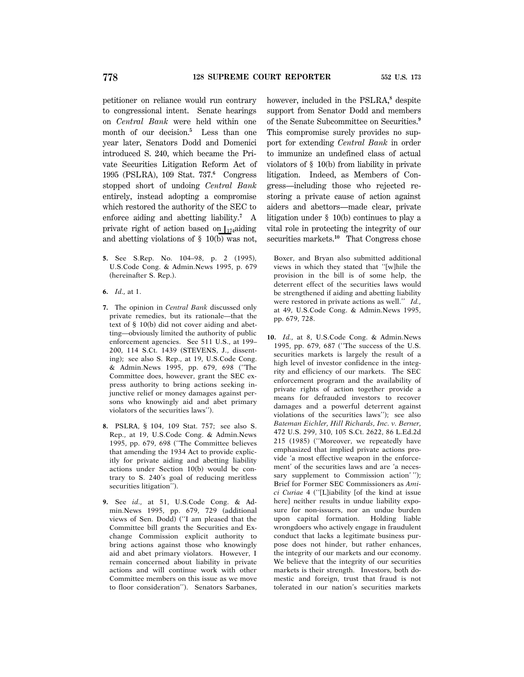petitioner on reliance would run contrary to congressional intent. Senate hearings on *Central Bank* were held within one month of our decision.**<sup>5</sup>** Less than one year later, Senators Dodd and Domenici introduced S. 240, which became the Private Securities Litigation Reform Act of 1995 (PSLRA), 109 Stat. 737.**<sup>6</sup>** Congress stopped short of undoing *Central Bank* entirely, instead adopting a compromise which restored the authority of the SEC to enforce aiding and abetting liability.**<sup>7</sup>** A private right of action based on  $\vert_{174}$ aiding and abetting violations of  $\S$  10(b) was not,

- **5.** See S.Rep. No. 104–98, p. 2 (1995), U.S.Code Cong. & Admin.News 1995, p. 679 (hereinafter S. Rep.).
- **6.** *Id.,* at 1.
- **7.** The opinion in *Central Bank* discussed only private remedies, but its rationale—that the text of § 10(b) did not cover aiding and abetting—obviously limited the authority of public enforcement agencies. See 511 U.S., at 199– 200, 114 S.Ct. 1439 (STEVENS, J., dissenting); see also S. Rep., at 19, U.S.Code Cong. & Admin.News 1995, pp. 679, 698 (''The Committee does, however, grant the SEC express authority to bring actions seeking injunctive relief or money damages against persons who knowingly aid and abet primary violators of the securities laws'').
- **8.** PSLRA, § 104, 109 Stat. 757; see also S. Rep., at 19, U.S.Code Cong. & Admin.News 1995, pp. 679, 698 (''The Committee believes that amending the 1934 Act to provide explicitly for private aiding and abetting liability actions under Section 10(b) would be contrary to S. 240's goal of reducing meritless securities litigation'').
- **9.** See *id*., at 51, U.S.Code Cong. & Admin.News 1995, pp. 679, 729 (additional views of Sen. Dodd) (''I am pleased that the Committee bill grants the Securities and Exchange Commission explicit authority to bring actions against those who knowingly aid and abet primary violators. However, I remain concerned about liability in private actions and will continue work with other Committee members on this issue as we move to floor consideration''). Senators Sarbanes,

however, included in the PSLRA,<sup>8</sup> despite support from Senator Dodd and members of the Senate Subcommittee on Securities.**<sup>9</sup>** This compromise surely provides no support for extending *Central Bank* in order to immunize an undefined class of actual violators of § 10(b) from liability in private litigation. Indeed, as Members of Congress—including those who rejected restoring a private cause of action against aiders and abettors—made clear, private litigation under § 10(b) continues to play a vital role in protecting the integrity of our securities markets.**<sup>10</sup>** That Congress chose

Boxer, and Bryan also submitted additional views in which they stated that ''[w]hile the provision in the bill is of some help, the deterrent effect of the securities laws would be strengthened if aiding and abetting liability were restored in private actions as well.'' *Id.,* at 49, U.S.Code Cong. & Admin.News 1995, pp. 679, 728.

**10.** *Id.,* at 8, U.S.Code Cong. & Admin.News 1995, pp. 679, 687 (''The success of the U.S. securities markets is largely the result of a high level of investor confidence in the integrity and efficiency of our markets. The SEC enforcement program and the availability of private rights of action together provide a means for defrauded investors to recover damages and a powerful deterrent against violations of the securities laws''); see also *Bateman Eichler, Hill Richards, Inc. v. Berner,* 472 U.S. 299, 310, 105 S.Ct. 2622, 86 L.Ed.2d 215 (1985) (''Moreover, we repeatedly have emphasized that implied private actions provide 'a most effective weapon in the enforcement' of the securities laws and are 'a necessary supplement to Commission action'"); Brief for Former SEC Commissioners as *Amici Curiae* 4 (''[L]iability [of the kind at issue here] neither results in undue liability exposure for non-issuers, nor an undue burden upon capital formation. Holding liable wrongdoers who actively engage in fraudulent conduct that lacks a legitimate business purpose does not hinder, but rather enhances, the integrity of our markets and our economy. We believe that the integrity of our securities markets is their strength. Investors, both domestic and foreign, trust that fraud is not tolerated in our nation's securities markets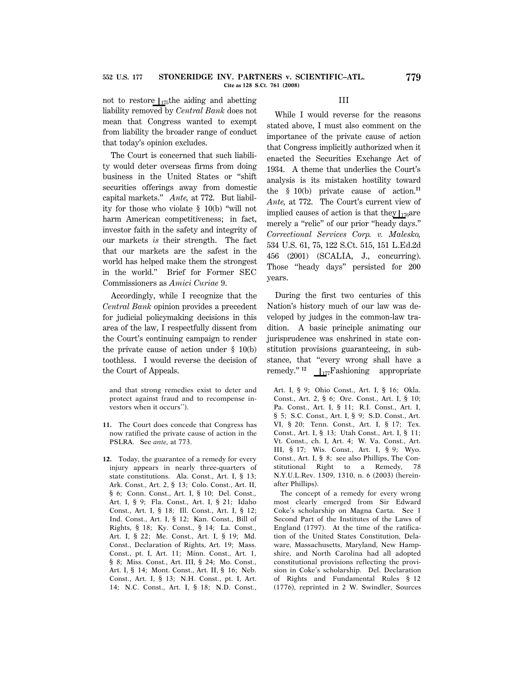not to restore  $\frac{1}{175}$ the aiding and abetting liability removed by *Central Bank* does not mean that Congress wanted to exempt from liability the broader range of conduct that today's opinion excludes.

The Court is concerned that such liability would deter overseas firms from doing business in the United States or ''shift securities offerings away from domestic capital markets.'' *Ante,* at 772. But liability for those who violate § 10(b) ''will not harm American competitiveness; in fact, investor faith in the safety and integrity of our markets *is* their strength. The fact that our markets are the safest in the world has helped make them the strongest in the world.'' Brief for Former SEC Commissioners as *Amici Curiae* 9.

Accordingly, while I recognize that the *Central Bank* opinion provides a precedent for judicial policymaking decisions in this area of the law, I respectfully dissent from the Court's continuing campaign to render the private cause of action under § 10(b) toothless. I would reverse the decision of the Court of Appeals.

and that strong remedies exist to deter and protect against fraud and to recompense investors when it occurs'').

- **11.** The Court does concede that Congress has now ratified the private cause of action in the PSLRA. See *ante,* at 773.
- **12.** Today, the guarantee of a remedy for every injury appears in nearly three-quarters of state constitutions. Ala. Const., Art. I, § 13; Ark. Const., Art. 2, § 13; Colo. Const., Art. II, § 6; Conn. Const., Art. I, § 10; Del. Const., Art. I, § 9; Fla. Const., Art. I, § 21; Idaho Const., Art. I, § 18; Ill. Const., Art. I, § 12; Ind. Const., Art. I, § 12; Kan. Const., Bill of Rights, § 18; Ky. Const., § 14; La. Const., Art. I, § 22; Me. Const., Art. I, § 19; Md. Const., Declaration of Rights, Art. 19; Mass. Const., pt. I, Art. 11; Minn. Const., Art. 1, § 8; Miss. Const., Art. III, § 24; Mo. Const., Art. I, § 14; Mont. Const., Art. II, § 16; Neb. Const., Art. I, § 13; N.H. Const., pt. I, Art. 14; N.C. Const., Art. I, § 18; N.D. Const.,

# III

While I would reverse for the reasons stated above, I must also comment on the importance of the private cause of action that Congress implicitly authorized when it enacted the Securities Exchange Act of 1934. A theme that underlies the Court's analysis is its mistaken hostility toward the § 10(b) private cause of action.**<sup>11</sup>** *Ante,* at 772. The Court's current view of implied causes of action is that they  $\frac{176}{4}$ merely a "relic" of our prior "heady days." *Correctional Services Corp. v. Malesko,* 534 U.S. 61, 75, 122 S.Ct. 515, 151 L.Ed.2d 456 (2001) (SCALIA, J., concurring). Those ''heady days'' persisted for 200 years.

During the first two centuries of this Nation's history much of our law was developed by judges in the common-law tradition. A basic principle animating our jurisprudence was enshrined in state constitution provisions guaranteeing, in substance, that ''every wrong shall have a remedy."<sup>12</sup>  $\frac{1}{177}$ Fashioning appropriate

Art. I, § 9; Ohio Const., Art. I, § 16; Okla. Const., Art. 2, § 6; Ore. Const., Art. I, § 10; Pa. Const., Art. I, § 11; R.I. Const., Art. I, § 5; S.C. Const., Art. I, § 9; S.D. Const., Art. VI, § 20; Tenn. Const., Art. I, § 17; Tex. Const., Art. I, § 13; Utah Const., Art. I, § 11; Vt. Const., ch. I, Art. 4; W. Va. Const., Art. III, § 17; Wis. Const., Art. I, § 9; Wyo. Const., Art. I, § 8; see also Phillips, The Constitutional Right to a Remedy, 78 N.Y.U.L.Rev. 1309, 1310, n. 6 (2003) (hereinafter Phillips).

The concept of a remedy for every wrong most clearly emerged from Sir Edward Coke's scholarship on Magna Carta. See 1 Second Part of the Institutes of the Laws of England (1797). At the time of the ratification of the United States Constitution, Delaware, Massachusetts, Maryland, New Hampshire, and North Carolina had all adopted constitutional provisions reflecting the provision in Coke's scholarship. Del. Declaration of Rights and Fundamental Rules § 12 (1776), reprinted in 2 W. Swindler, Sources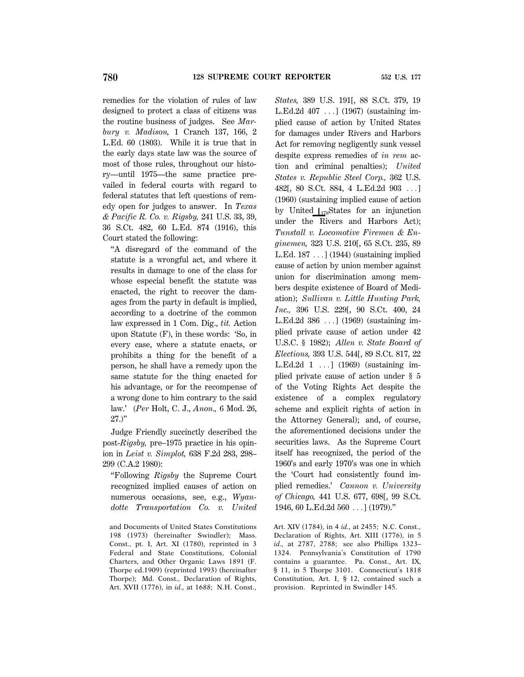remedies for the violation of rules of law designed to protect a class of citizens was the routine business of judges. See *Marbury v. Madison,* 1 Cranch 137, 166, 2 L.Ed. 60 (1803). While it is true that in the early days state law was the source of most of those rules, throughout our history—until 1975—the same practice prevailed in federal courts with regard to federal statutes that left questions of remedy open for judges to answer. In *Texas & Pacific R. Co. v. Rigsby,* 241 U.S. 33, 39, 36 S.Ct. 482, 60 L.Ed. 874 (1916), this Court stated the following:

''A disregard of the command of the statute is a wrongful act, and where it results in damage to one of the class for whose especial benefit the statute was enacted, the right to recover the damages from the party in default is implied, according to a doctrine of the common law expressed in 1 Com. Dig., *tit.* Action upon Statute (F), in these words: 'So, in every case, where a statute enacts, or prohibits a thing for the benefit of a person, he shall have a remedy upon the same statute for the thing enacted for his advantage, or for the recompense of a wrong done to him contrary to the said law.' (*Per* Holt, C. J., *Anon.,* 6 Mod. 26,  $27.$ )"

Judge Friendly succinctly described the post-*Rigsby,* pre–1975 practice in his opinion in *Leist v. Simplot,* 638 F.2d 283, 298– 299 (C.A.2 1980):

''Following *Rigsby* the Supreme Court recognized implied causes of action on numerous occasions, see, e.g., *Wyandotte Transportation Co. v. United*

and Documents of United States Constitutions 198 (1973) (hereinafter Swindler); Mass. Const., pt. I, Art. XI (1780), reprinted in 3 Federal and State Constitutions, Colonial Charters, and Other Organic Laws 1891 (F. Thorpe ed.1909) (reprinted 1993) (hereinafter Thorpe); Md. Const., Declaration of Rights, Art. XVII (1776), in *id.,* at 1688; N.H. Const., *States,* 389 U.S. 191[, 88 S.Ct. 379, 19 L.Ed.2d  $407$  ...] (1967) (sustaining implied cause of action by United States for damages under Rivers and Harbors Act for removing negligently sunk vessel despite express remedies of *in rem* action and criminal penalties); *United States v. Republic Steel Corp.,* 362 U.S. 482[, 80 S.Ct. 884, 4 L.Ed.2d 903 ...] (1960) (sustaining implied cause of action by United  $\int_{178}^{178} States$  for an injunction under the Rivers and Harbors Act); *Tunstall v. Locomotive Firemen & Enginemen,* 323 U.S. 210[, 65 S.Ct. 235, 89 L.Ed.  $187 \ldots$ ] (1944) (sustaining implied cause of action by union member against union for discrimination among members despite existence of Board of Mediation); *Sullivan v. Little Hunting Park, Inc.,* 396 U.S. 229[, 90 S.Ct. 400, 24 L.Ed.2d  $386$  ...] (1969) (sustaining implied private cause of action under 42 U.S.C. § 1982); *Allen v. State Board of Elections,* 393 U.S. 544[, 89 S.Ct. 817, 22 L.Ed.2d  $1 \ldots$ ] (1969) (sustaining implied private cause of action under § 5 of the Voting Rights Act despite the existence of a complex regulatory scheme and explicit rights of action in the Attorney General); and, of course, the aforementioned decisions under the securities laws. As the Supreme Court itself has recognized, the period of the 1960's and early 1970's was one in which the 'Court had consistently found implied remedies.' *Cannon v. University of Chicago,* 441 U.S. 677, 698[, 99 S.Ct. 1946, 60 L.Ed.2d  $560$  ...] (1979)."

Art. XIV (1784), in 4 *id.,* at 2455; N.C. Const., Declaration of Rights, Art. XIII (1776), in 5 *id.,* at 2787, 2788; see also Phillips 1323– 1324. Pennsylvania's Constitution of 1790 contains a guarantee. Pa. Const., Art. IX, § 11, in 5 Thorpe 3101. Connecticut's 1818 Constitution, Art. I, § 12, contained such a provision. Reprinted in Swindler 145.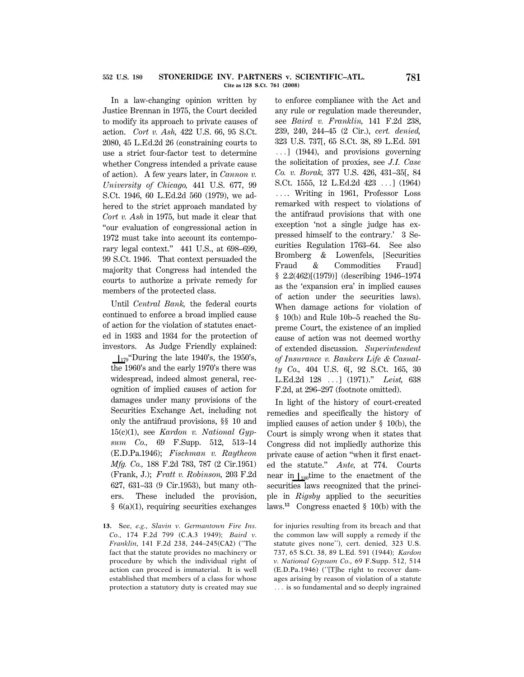#### **STONERIDGE INV. PARTNERS v. SCIENTIFIC–ATL. 781 Cite as 128 S.Ct. 761 (2008) 552 U.S. 180**

In a law-changing opinion written by Justice Brennan in 1975, the Court decided to modify its approach to private causes of action. *Cort v. Ash,* 422 U.S. 66, 95 S.Ct. 2080, 45 L.Ed.2d 26 (constraining courts to use a strict four-factor test to determine whether Congress intended a private cause of action). A few years later, in *Cannon v. University of Chicago,* 441 U.S. 677, 99 S.Ct. 1946, 60 L.Ed.2d 560 (1979), we adhered to the strict approach mandated by *Cort v. Ash* in 1975, but made it clear that ''our evaluation of congressional action in 1972 must take into account its contemporary legal context.'' 441 U.S., at 698–699, 99 S.Ct. 1946. That context persuaded the majority that Congress had intended the courts to authorize a private remedy for members of the protected class.

Until *Central Bank,* the federal courts continued to enforce a broad implied cause of action for the violation of statutes enacted in 1933 and 1934 for the protection of investors. As Judge Friendly explained:

 $\frac{179}{179}$ . During the late 1940's, the 1950's, the 1960's and the early 1970's there was widespread, indeed almost general, recognition of implied causes of action for damages under many provisions of the Securities Exchange Act, including not only the antifraud provisions, §§ 10 and 15(c)(1), see *Kardon v. National Gypsum Co.,* 69 F.Supp. 512, 513–14 (E.D.Pa.1946); *Fischman v. Raytheon Mfg. Co.,* 188 F.2d 783, 787 (2 Cir.1951) (Frank, J.); *Fratt v. Robinson,* 203 F.2d 627, 631–33 (9 Cir.1953), but many others. These included the provision, § 6(a)(1), requiring securities exchanges

**13.** See, *e.g., Slavin v. Germantown Fire Ins. Co.,* 174 F.2d 799 (C.A.3 1949); *Baird v. Franklin,* 141 F.2d 238, 244–245(CA2) (''The fact that the statute provides no machinery or procedure by which the individual right of action can proceed is immaterial. It is well established that members of a class for whose protection a statutory duty is created may sue

to enforce compliance with the Act and any rule or regulation made thereunder, see *Baird v. Franklin,* 141 F.2d 238, 239, 240, 244–45 (2 Cir.), *cert. denied,* 323 U.S. 737[, 65 S.Ct. 38, 89 L.Ed. 591  $\ldots$ ] (1944), and provisions governing the solicitation of proxies, see *J.I. Case Co. v. Borak,* 377 U.S. 426, 431–35[, 84 S.Ct. 1555, 12 L.Ed.2d 423 ...] (1964) .... Writing in 1961, Professor Loss remarked with respect to violations of the antifraud provisions that with one exception 'not a single judge has expressed himself to the contrary.' 3 Securities Regulation 1763–64. See also Bromberg & Lowenfels, [Securities Fraud & Commodities Fraud] § 2.2(462)[(1979)] (describing 1946–1974 as the 'expansion era' in implied causes of action under the securities laws). When damage actions for violation of § 10(b) and Rule 10b–5 reached the Supreme Court, the existence of an implied cause of action was not deemed worthy of extended discussion. *Superintendent of Insurance v. Bankers Life & Casualty Co.,* 404 U.S. 6[, 92 S.Ct. 165, 30 L.Ed.2d 128 ...] (1971)." *Leist*, 638 F.2d, at 296–297 (footnote omitted).

In light of the history of court-created remedies and specifically the history of implied causes of action under § 10(b), the Court is simply wrong when it states that Congress did not impliedly authorize this private cause of action ''when it first enacted the statute.'' *Ante,* at 774. Courts near in  $\iota_{180}$ time to the enactment of the securities laws recognized that the principle in *Rigsby* applied to the securities laws.**<sup>13</sup>** Congress enacted § 10(b) with the

for injuries resulting from its breach and that the common law will supply a remedy if the statute gives none''), cert. denied, 323 U.S. 737, 65 S.Ct. 38, 89 L.Ed. 591 (1944); *Kardon v. National Gypsum Co.,* 69 F.Supp. 512, 514 (E.D.Pa.1946) (''[T]he right to recover damages arising by reason of violation of a statute ... is so fundamental and so deeply ingrained